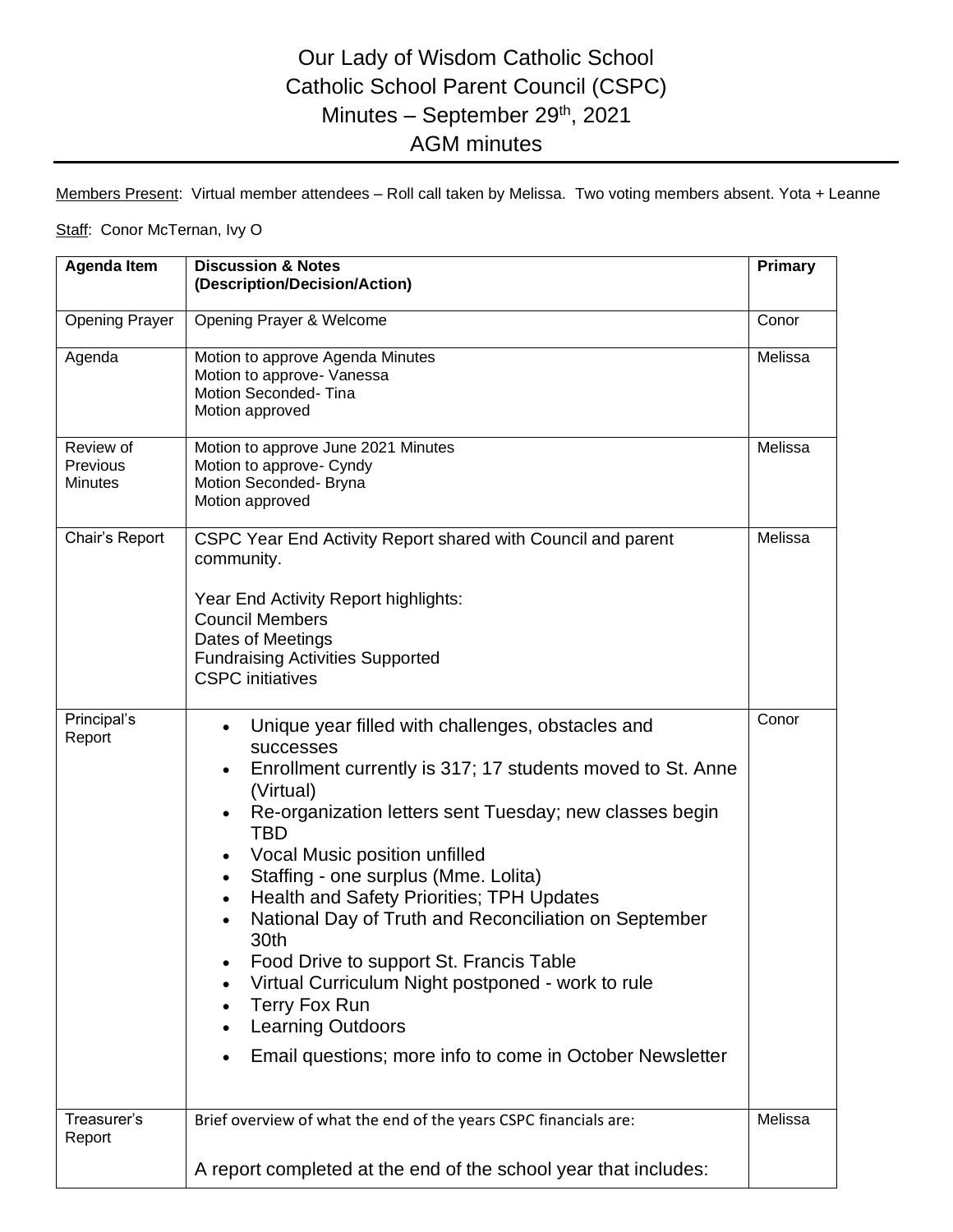## Our Lady of Wisdom Catholic School Catholic School Parent Council (CSPC) Minutes - September 29<sup>th</sup>, 2021 AGM minutes

Members Present: Virtual member attendees – Roll call taken by Melissa. Two voting members absent. Yota + Leanne

## Staff: Conor McTernan, Ivy O

| <b>Agenda Item</b>                      | <b>Discussion &amp; Notes</b><br>(Description/Decision/Action)                                                                                                                                                                                                                                                                                                                                                                                                                                                                                                                                                                                                                       | Primary |
|-----------------------------------------|--------------------------------------------------------------------------------------------------------------------------------------------------------------------------------------------------------------------------------------------------------------------------------------------------------------------------------------------------------------------------------------------------------------------------------------------------------------------------------------------------------------------------------------------------------------------------------------------------------------------------------------------------------------------------------------|---------|
|                                         |                                                                                                                                                                                                                                                                                                                                                                                                                                                                                                                                                                                                                                                                                      |         |
| <b>Opening Prayer</b>                   | Opening Prayer & Welcome                                                                                                                                                                                                                                                                                                                                                                                                                                                                                                                                                                                                                                                             | Conor   |
| Agenda                                  | Motion to approve Agenda Minutes<br>Motion to approve- Vanessa<br>Motion Seconded-Tina<br>Motion approved                                                                                                                                                                                                                                                                                                                                                                                                                                                                                                                                                                            | Melissa |
| Review of<br>Previous<br><b>Minutes</b> | Motion to approve June 2021 Minutes<br>Motion to approve- Cyndy<br>Motion Seconded- Bryna<br>Motion approved                                                                                                                                                                                                                                                                                                                                                                                                                                                                                                                                                                         | Melissa |
| Chair's Report                          | CSPC Year End Activity Report shared with Council and parent<br>community.<br>Year End Activity Report highlights:<br><b>Council Members</b><br>Dates of Meetings<br><b>Fundraising Activities Supported</b><br><b>CSPC</b> initiatives                                                                                                                                                                                                                                                                                                                                                                                                                                              | Melissa |
| Principal's<br>Report                   | Unique year filled with challenges, obstacles and<br>$\bullet$<br><b>successes</b><br>Enrollment currently is 317; 17 students moved to St. Anne<br>$\bullet$<br>(Virtual)<br>Re-organization letters sent Tuesday; new classes begin<br>$\bullet$<br><b>TBD</b><br>Vocal Music position unfilled<br>Staffing - one surplus (Mme. Lolita)<br><b>Health and Safety Priorities; TPH Updates</b><br>$\bullet$<br>National Day of Truth and Reconciliation on September<br>30th<br>Food Drive to support St. Francis Table<br>Virtual Curriculum Night postponed - work to rule<br>Terry Fox Run<br><b>Learning Outdoors</b><br>Email questions; more info to come in October Newsletter | Conor   |
| Treasurer's<br>Report                   | Brief overview of what the end of the years CSPC financials are:<br>A report completed at the end of the school year that includes:                                                                                                                                                                                                                                                                                                                                                                                                                                                                                                                                                  | Melissa |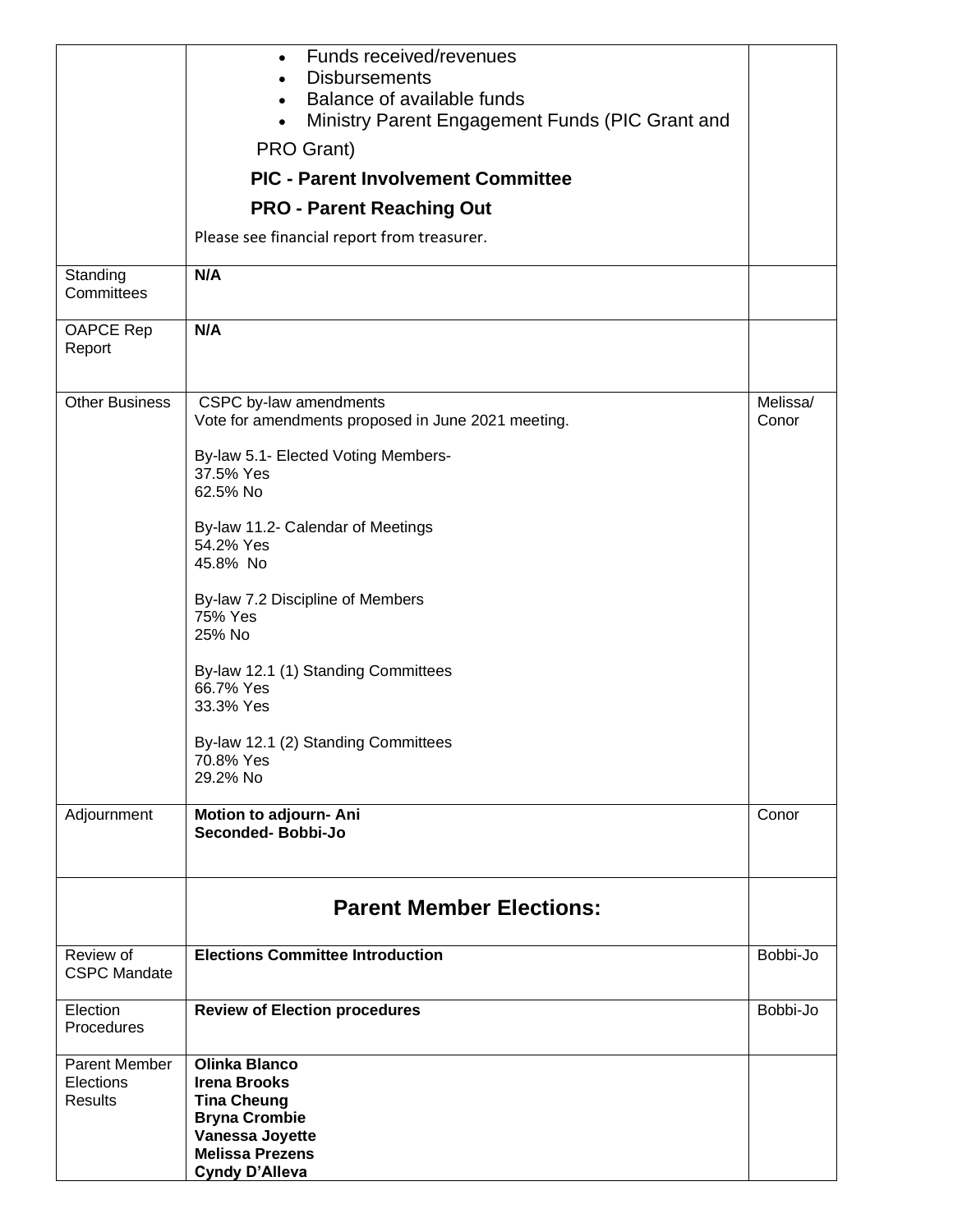|                             | Funds received/revenues<br>$\bullet$<br><b>Disbursements</b>                                            |                   |
|-----------------------------|---------------------------------------------------------------------------------------------------------|-------------------|
|                             | Balance of available funds<br>$\bullet$<br>Ministry Parent Engagement Funds (PIC Grant and<br>$\bullet$ |                   |
|                             | PRO Grant)                                                                                              |                   |
|                             | <b>PIC - Parent Involvement Committee</b>                                                               |                   |
|                             | <b>PRO - Parent Reaching Out</b>                                                                        |                   |
|                             | Please see financial report from treasurer.                                                             |                   |
| Standing<br>Committees      | N/A                                                                                                     |                   |
| OAPCE Rep<br>Report         | N/A                                                                                                     |                   |
| <b>Other Business</b>       | CSPC by-law amendments<br>Vote for amendments proposed in June 2021 meeting.                            | Melissa/<br>Conor |
|                             | By-law 5.1- Elected Voting Members-                                                                     |                   |
|                             | 37.5% Yes<br>62.5% No                                                                                   |                   |
|                             |                                                                                                         |                   |
|                             | By-law 11.2- Calendar of Meetings<br>54.2% Yes                                                          |                   |
|                             | 45.8% No                                                                                                |                   |
|                             | By-law 7.2 Discipline of Members                                                                        |                   |
|                             | 75% Yes<br>25% No                                                                                       |                   |
|                             |                                                                                                         |                   |
|                             | By-law 12.1 (1) Standing Committees<br>66.7% Yes                                                        |                   |
|                             | 33.3% Yes                                                                                               |                   |
|                             | By-law 12.1 (2) Standing Committees                                                                     |                   |
|                             | 70.8% Yes<br>29.2% No                                                                                   |                   |
|                             |                                                                                                         |                   |
| Adjournment                 | Motion to adjourn- Ani<br>Seconded-Bobbi-Jo                                                             | Conor             |
|                             |                                                                                                         |                   |
|                             | <b>Parent Member Elections:</b>                                                                         |                   |
| Review of                   | <b>Elections Committee Introduction</b>                                                                 | Bobbi-Jo          |
| <b>CSPC Mandate</b>         |                                                                                                         |                   |
| Election<br>Procedures      | <b>Review of Election procedures</b>                                                                    | Bobbi-Jo          |
| Parent Member               | <b>Olinka Blanco</b>                                                                                    |                   |
| Elections<br><b>Results</b> | <b>Irena Brooks</b><br><b>Tina Cheung</b>                                                               |                   |
|                             | <b>Bryna Crombie</b><br>Vanessa Joyette                                                                 |                   |
|                             | <b>Melissa Prezens</b>                                                                                  |                   |
|                             | <b>Cyndy D'Alleva</b>                                                                                   |                   |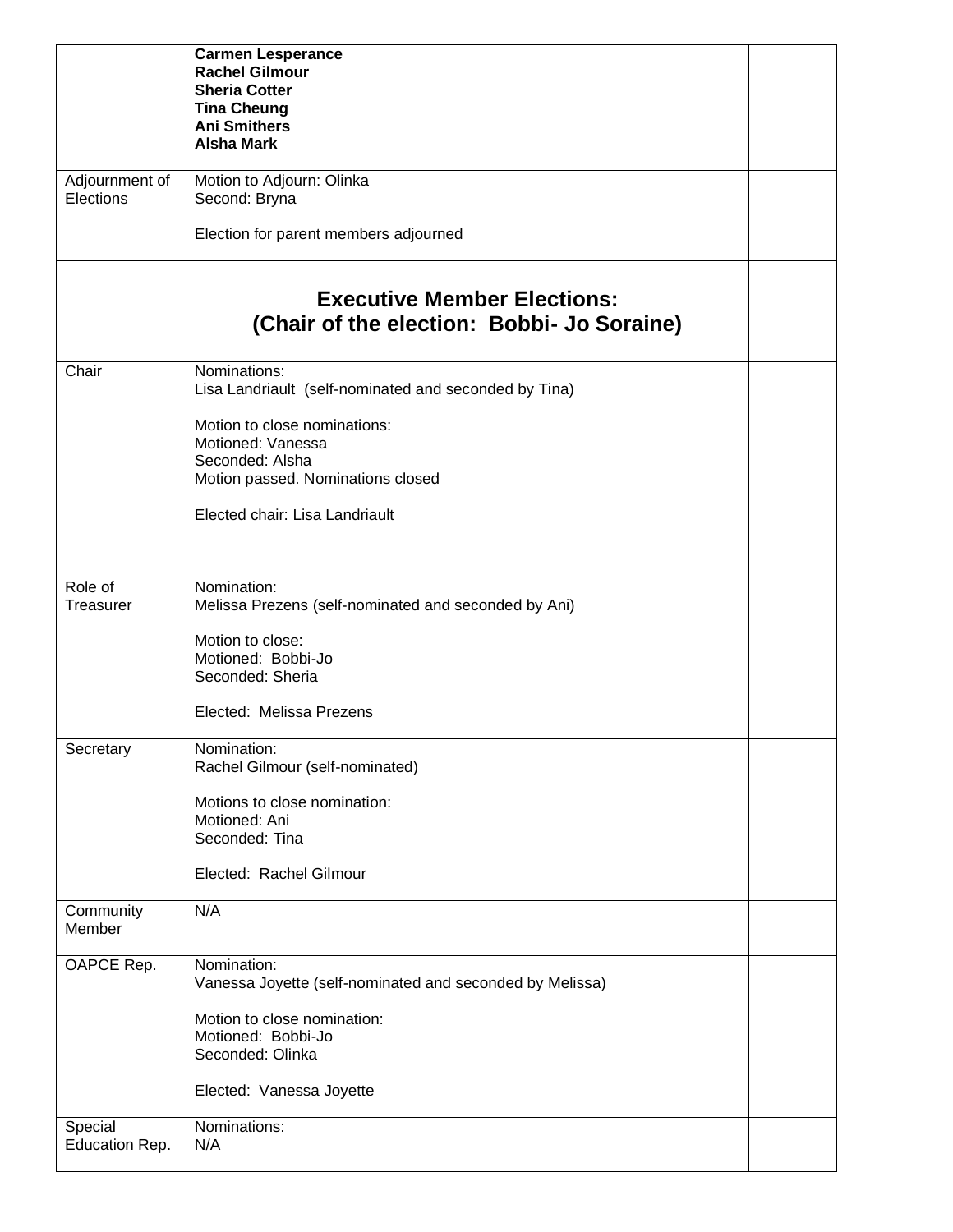|                             | <b>Carmen Lesperance</b><br><b>Rachel Gilmour</b><br><b>Sheria Cotter</b><br><b>Tina Cheung</b><br><b>Ani Smithers</b><br><b>Alsha Mark</b> |  |
|-----------------------------|---------------------------------------------------------------------------------------------------------------------------------------------|--|
| Adjournment of<br>Elections | Motion to Adjourn: Olinka<br>Second: Bryna                                                                                                  |  |
|                             | Election for parent members adjourned                                                                                                       |  |
|                             | <b>Executive Member Elections:</b><br>(Chair of the election: Bobbi- Jo Soraine)                                                            |  |
| Chair                       | Nominations:<br>Lisa Landriault (self-nominated and seconded by Tina)                                                                       |  |
|                             | Motion to close nominations:<br>Motioned: Vanessa                                                                                           |  |
|                             | Seconded: Alsha<br>Motion passed. Nominations closed                                                                                        |  |
|                             | Elected chair: Lisa Landriault                                                                                                              |  |
| Role of<br>Treasurer        | Nomination:<br>Melissa Prezens (self-nominated and seconded by Ani)                                                                         |  |
|                             | Motion to close:<br>Motioned: Bobbi-Jo<br>Seconded: Sheria                                                                                  |  |
|                             | Elected: Melissa Prezens                                                                                                                    |  |
| Secretary                   | Nomination:<br>Rachel Gilmour (self-nominated)                                                                                              |  |
|                             | Motions to close nomination:<br>Motioned: Ani<br>Seconded: Tina                                                                             |  |
|                             | Elected: Rachel Gilmour                                                                                                                     |  |
| Community<br>Member         | N/A                                                                                                                                         |  |
| OAPCE Rep.                  | Nomination:<br>Vanessa Joyette (self-nominated and seconded by Melissa)                                                                     |  |
|                             | Motion to close nomination:<br>Motioned: Bobbi-Jo<br>Seconded: Olinka                                                                       |  |
|                             | Elected: Vanessa Joyette                                                                                                                    |  |
| Special<br>Education Rep.   | Nominations:<br>N/A                                                                                                                         |  |